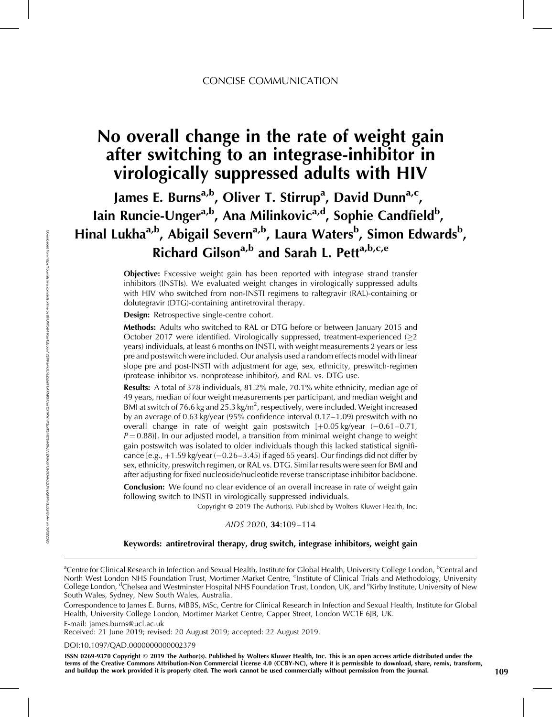# No overall change in the rate of weight gain after switching to an integrase-inhibitor in virologically suppressed adults with HIV

James E. Burns<sup>a,b</sup>, Oliver T. Stirrup<sup>a</sup>, David Dunn<sup>a,c</sup>, Iain Runcie-Unger<sup>a,b</sup>, Ana Milinkovic<sup>a,d</sup>, Sophie Candfield<sup>b</sup>, Hinal Lukha<sup>a,b</sup>, Abigail Severn<sup>a,b</sup>, Laura Waters<sup>b</sup>, Simon Edwards<sup>b</sup>, Richard Gilson<sup>a,b</sup> and Sarah L. Pett<sup>a,b,c,e</sup>

> Objective: Excessive weight gain has been reported with integrase strand transfer inhibitors (INSTIs). We evaluated weight changes in virologically suppressed adults with HIV who switched from non-INSTI regimens to raltegravir (RAL)-containing or dolutegravir (DTG)-containing antiretroviral therapy.

Design: Retrospective single-centre cohort.

Methods: Adults who switched to RAL or DTG before or between January 2015 and October 2017 were identified. Virologically suppressed, treatment-experienced  $(\geq 2)$ years) individuals, at least 6 months on INSTI, with weight measurements 2 years or less pre and postswitch were included. Our analysis used a random effects model with linear slope pre and post-INSTI with adjustment for age, sex, ethnicity, preswitch-regimen (protease inhibitor vs. nonprotease inhibitor), and RAL vs. DTG use.

Results: A total of 378 individuals, 81.2% male, 70.1% white ethnicity, median age of 49 years, median of four weight measurements per participant, and median weight and BMI at switch of 76.6 kg and 25.3 kg/m<sup>2</sup>, respectively, were included. Weight increased by an average of 0.63 kg/year (95% confidence interval 0.17–1.09) preswitch with no overall change in rate of weight gain postswitch  $[+0.05 \text{ kg/year } (-0.61 - 0.71,$  $P = 0.88$ ]. In our adjusted model, a transition from minimal weight change to weight gain postswitch was isolated to older individuals though this lacked statistical significance  $[e.g., +1.59 kg/year (-0.26–3.45)$  if aged 65 years]. Our findings did not differ by sex, ethnicity, preswitch regimen, or RAL vs. DTG. Similar results were seen for BMI and after adjusting for fixed nucleoside/nucleotide reverse transcriptase inhibitor backbone.

**Conclusion:** We found no clear evidence of an overall increase in rate of weight gain following switch to INSTI in virologically suppressed individuals.

Copyright © 2019 The Author(s). Published by Wolters Kluwer Health, Inc.

#### AIDS 2020, 34:109–114

#### Keywords: antiretroviral therapy, drug switch, integrase inhibitors, weight gain

E-mail: [james.burns@ucl.ac.uk](mailto:james.burns@ucl.ac.uk)

Received: 21 June 2019; revised: 20 August 2019; accepted: 22 August 2019.

#### DOI[:10.1097/QAD.0000000000002379](http://dx.doi.org/10.1097/QAD.0000000000002379)

ISSN 0269-9370 Copyright © 2019 The Author(s). Published by Wolters Kluwer Health, Inc. This is an open access article distributed under the terms of the Creative Commons Attribution-Non Commercial License 4.0 (CCBY-NC), where it is permissible to download, share, remix, transform, and buildup the work provided it is properly cited. The work cannot be used commercially without permission from the journal. 109

<sup>&</sup>lt;sup>a</sup>Centre for Clinical Research in Infection and Sexual Health, Institute for Global Health, University College London, <sup>b</sup>Central and North West London NHS Foundation Trust, Mortimer Market Centre, <sup>c</sup>Institute of Clinical Trials and Methodology, University College London, <sup>d</sup>Chelsea and Westminster Hospital NHS Foundation Trust, London, UK, and <sup>e</sup>Kirby Institute, University of New South Wales, Sydney, New South Wales, Australia.

Correspondence to James E. Burns, MBBS, MSc, Centre for Clinical Research in Infection and Sexual Health, Institute for Global Health, University College London, Mortimer Market Centre, Capper Street, London WC1E 6JB, UK.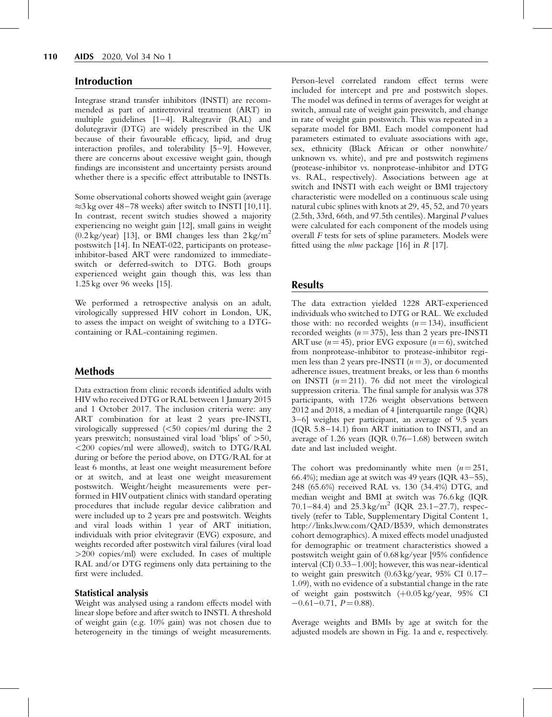#### Introduction

Integrase strand transfer inhibitors (INSTI) are recommended as part of antiretroviral treatment (ART) in multiple guidelines [1–4]. Raltegravir (RAL) and dolutegravir (DTG) are widely prescribed in the UK because of their favourable efficacy, lipid, and drug interaction profiles, and tolerability [5–9]. However, there are concerns about excessive weight gain, though findings are inconsistent and uncertainty persists around whether there is a specific effect attributable to INSTIs.

Some observational cohorts showed weight gain (average  $\approx$ 3 kg over 48–78 weeks) after switch to INSTI [10,11]. In contrast, recent switch studies showed a majority experiencing no weight gain [12], small gains in weight  $(0.2 \text{ kg/year})$  [13], or BMI changes less than  $2 \text{ kg/m}^2$ postswitch [14]. In NEAT-022, participants on proteaseinhibitor-based ART were randomized to immediateswitch or deferred-switch to DTG. Both groups experienced weight gain though this, was less than 1.25 kg over 96 weeks [15].

We performed a retrospective analysis on an adult, virologically suppressed HIV cohort in London, UK, to assess the impact on weight of switching to a DTGcontaining or RAL-containing regimen.

## Methods

Data extraction from clinic records identified adults with HIV who received DTG or RAL between 1 January 2015 and 1 October 2017. The inclusion criteria were: any ART combination for at least 2 years pre-INSTI, virologically suppressed (<50 copies/ml during the 2 years preswitch; nonsustained viral load 'blips' of >50, <200 copies/ml were allowed), switch to DTG/RAL during or before the period above, on DTG/RAL for at least 6 months, at least one weight measurement before or at switch, and at least one weight measurement postswitch. Weight/height measurements were performed in HIV outpatient clinics with standard operating procedures that include regular device calibration and were included up to 2 years pre and postswitch. Weights and viral loads within 1 year of ART initiation, individuals with prior elvitegravir (EVG) exposure, and weights recorded after postswitch viral failures (viral load >200 copies/ml) were excluded. In cases of multiple RAL and/or DTG regimens only data pertaining to the first were included.

#### Statistical analysis

Weight was analysed using a random effects model with linear slope before and after switch to INSTI. A threshold of weight gain (e.g. 10% gain) was not chosen due to heterogeneity in the timings of weight measurements.

Person-level correlated random effect terms were included for intercept and pre and postswitch slopes. The model was defined in terms of averages for weight at switch, annual rate of weight gain preswitch, and change in rate of weight gain postswitch. This was repeated in a separate model for BMI. Each model component had parameters estimated to evaluate associations with age, sex, ethnicity (Black African or other nonwhite/ unknown vs. white), and pre and postswitch regimens (protease-inhibitor vs. nonprotease-inhibitor and DTG vs. RAL, respectively). Associations between age at switch and INSTI with each weight or BMI trajectory characteristic were modelled on a continuous scale using natural cubic splines with knots at 29, 45, 52, and 70 years (2.5th, 33rd, 66th, and 97.5th centiles). Marginal P values were calculated for each component of the models using overall F tests for sets of spline parameters. Models were fitted using the *nlme* package [16] in  $R$  [17].

### Results

The data extraction yielded 1228 ART-experienced individuals who switched to DTG or RAL. We excluded those with: no recorded weights  $(n = 134)$ , insufficient recorded weights ( $n = 375$ ), less than 2 years pre-INSTI ART use ( $n = 45$ ), prior EVG exposure ( $n = 6$ ), switched from nonprotease-inhibitor to protease-inhibitor regimen less than 2 years pre-INSTI  $(n=3)$ , or documented adherence issues, treatment breaks, or less than 6 months on INSTI ( $n = 211$ ). 76 did not meet the virological suppression criteria. The final sample for analysis was 378 participants, with 1726 weight observations between 2012 and 2018, a median of 4 [interquartile range (IQR) 3–6] weights per participant, an average of 9.5 years (IQR 5.8–14.1) from ART initiation to INSTI, and an average of 1.26 years (IQR 0.76–1.68) between switch date and last included weight.

The cohort was predominantly white men  $(n=251,$ 66.4%); median age at switch was 49 years (IQR 43–55), 248 (65.6%) received RAL vs. 130 (34.4%) DTG, and median weight and BMI at switch was 76.6 kg (IQR 70.1–84.4) and  $25.3 \text{ kg/m}^2$  (IQR 23.1–27.7), respectively (refer to Table, Supplementary Digital Content 1, <http://links.lww.com/QAD/B539>, which demonstrates cohort demographics). A mixed effects model unadjusted for demographic or treatment characteristics showed a postswitch weight gain of 0.68 kg/year [95% confidence interval (CI) 0.33–1.00]; however, this was near-identical to weight gain preswitch (0.63 kg/year, 95% CI 0.17– 1.09), with no evidence of a substantial change in the rate of weight gain postswitch  $(+0.05 \text{ kg/year}, 95\% \text{ CI}$  $-0.61-0.71$ ,  $P = 0.88$ ).

Average weights and BMIs by age at switch for the adjusted models are shown in Fig. 1a and e, respectively.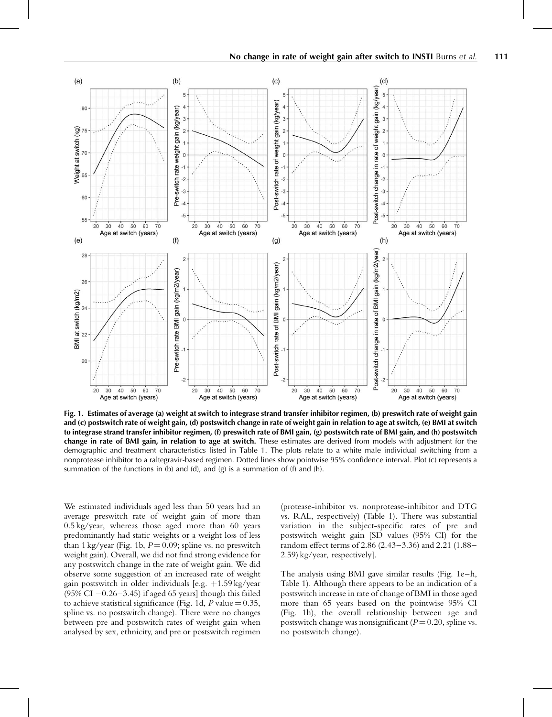

Fig. 1. Estimates of average (a) weight at switch to integrase strand transfer inhibitor regimen, (b) preswitch rate of weight gain and (c) postswitch rate of weight gain, (d) postswitch change in rate of weight gain in relation to age at switch, (e) BMI at switch to integrase strand transfer inhibitor regimen, (f) preswitch rate of BMI gain, (g) postswitch rate of BMI gain, and (h) postswitch change in rate of BMI gain, in relation to age at switch. These estimates are derived from models with adjustment for the demographic and treatment characteristics listed in Table 1. The plots relate to a white male individual switching from a nonprotease inhibitor to a raltegravir-based regimen. Dotted lines show pointwise 95% confidence interval. Plot (c) represents a summation of the functions in (b) and (d), and (g) is a summation of (f) and (h).

We estimated individuals aged less than 50 years had an average preswitch rate of weight gain of more than 0.5 kg/year, whereas those aged more than 60 years predominantly had static weights or a weight loss of less than 1 kg/year (Fig. 1b,  $P = 0.09$ ; spline vs. no preswitch weight gain). Overall, we did not find strong evidence for any postswitch change in the rate of weight gain. We did observe some suggestion of an increased rate of weight gain postswitch in older individuals [e.g.  $+1.59$  kg/year  $(95\% \text{ CI} - 0.26 - 3.45)$  if aged 65 years] though this failed to achieve statistical significance (Fig. 1d,  $P$  value = 0.35, spline vs. no postswitch change). There were no changes between pre and postswitch rates of weight gain when analysed by sex, ethnicity, and pre or postswitch regimen

(protease-inhibitor vs. nonprotease-inhibitor and DTG vs. RAL, respectively) (Table 1). There was substantial variation in the subject-specific rates of pre and postswitch weight gain [SD values (95% CI) for the random effect terms of 2.86 (2.43–3.36) and 2.21 (1.88– 2.59) kg/year, respectively].

The analysis using BMI gave similar results (Fig. 1e–h, Table 1). Although there appears to be an indication of a postswitch increase in rate of change of BMI in those aged more than 65 years based on the pointwise 95% CI (Fig. 1h), the overall relationship between age and postswitch change was nonsignificant ( $P = 0.20$ , spline vs. no postswitch change).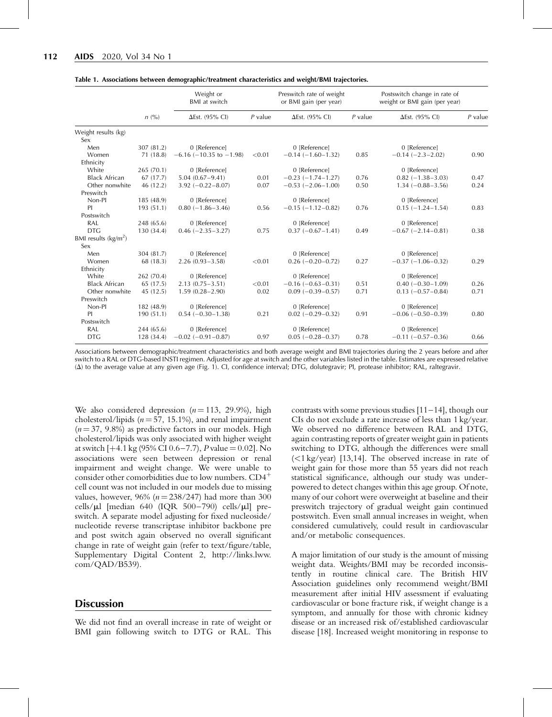|                            | $n\ (\%)$  | Weight or<br>BMI at switch      |           | Preswitch rate of weight<br>or BMI gain (per year) |           | Postswitch change in rate of<br>weight or BMI gain (per year) |           |
|----------------------------|------------|---------------------------------|-----------|----------------------------------------------------|-----------|---------------------------------------------------------------|-----------|
|                            |            | $\Delta$ Est. (95% CI)          | $P$ value | $\Delta$ Est. (95% CI)                             | $P$ value | $\Delta$ Est. (95% CI)                                        | $P$ value |
| Weight results (kg)<br>Sex |            |                                 |           |                                                    |           |                                                               |           |
| Men                        | 307 (81.2) | 0 [Reference]                   |           | 0 [Reference]                                      |           | 0 [Reference]                                                 |           |
| Women                      | 71(18.8)   | $-6.16$ ( $-10.35$ to $-1.98$ ) | < 0.01    | $-0.14 (-1.60 - 1.32)$                             | 0.85      | $-0.14 (-2.3 - 2.02)$                                         | 0.90      |
| Ethnicity                  |            |                                 |           |                                                    |           |                                                               |           |
| White                      | 265 (70.1) | 0 [Reference]                   |           | 0 [Reference]                                      |           | 0 [Reference]                                                 |           |
| <b>Black African</b>       | 67(17.7)   | $5.04(0.67 - 9.41)$             | 0.01      | $-0.23$ $(-1.74 - 1.27)$                           | 0.76      | $0.82 (-1.38 - 3.03)$                                         | 0.47      |
| Other nonwhite             | 46 (12.2)  | $3.92 (-0.22 - 8.07)$           | 0.07      | $-0.53$ $(-2.06-1.00)$                             | 0.50      | $1.34 (-0.88 - 3.56)$                                         | 0.24      |
| Preswitch                  |            |                                 |           |                                                    |           |                                                               |           |
| Non-Pl                     | 185 (48.9) | 0 [Reference]                   |           | 0 [Reference]                                      |           | 0 [Reference]                                                 |           |
| PI                         | 193(51.1)  | $0.80$ (-1.86-3.46)             | 0.56      | $-0.15$ $(-1.12 - 0.82)$                           | 0.76      | $0.15 (-1.24 - 1.54)$                                         | 0.83      |
| Postswitch                 |            |                                 |           |                                                    |           |                                                               |           |
| RAL                        | 248 (65.6) | 0 [Reference]                   |           | 0 [Reference]                                      |           | 0 [Reference]                                                 |           |
| <b>DTG</b>                 | 130 (34.4) | $0.46 (-2.35 - 3.27)$           | 0.75      | $0.37(-0.67-1.41)$                                 | 0.49      | $-0.67$ $(-2.14 - 0.81)$                                      | 0.38      |
| BMI results $(kg/m2)$      |            |                                 |           |                                                    |           |                                                               |           |
| Sex                        |            |                                 |           |                                                    |           |                                                               |           |
| Men                        | 304 (81.7) | 0 [Reference]                   |           | 0 [Reference]                                      |           | 0 [Reference]                                                 |           |
| Women                      | 68 (18.3)  | $2.26(0.93 - 3.58)$             | < 0.01    | $0.26 (-0.20 - 0.72)$                              | 0.27      | $-0.37(-1.06-0.32)$                                           | 0.29      |
| Ethnicity                  |            |                                 |           |                                                    |           |                                                               |           |
| White                      | 262 (70.4) | 0 [Reference]                   |           | 0 [Reference]                                      |           | 0 [Reference]                                                 |           |
| <b>Black African</b>       | 65 (17.5)  | $2.13(0.75 - 3.51)$             | < 0.01    | $-0.16(-0.63-0.31)$                                | 0.51      | $0.40 (-0.30 - 1.09)$                                         | 0.26      |
| Other nonwhite             | 45 (12.5)  | $1.59(0.28 - 2.90)$             | 0.02      | $0.09$ ( $-0.39-0.57$ )                            | 0.71      | $0.13 (-0.57 - 0.84)$                                         | 0.71      |
| Preswitch                  |            |                                 |           |                                                    |           |                                                               |           |
| Non-Pl                     | 182 (48.9) | 0 [Reference]                   |           | 0 [Reference]                                      |           | 0 [Reference]                                                 |           |
| PI                         | 190(51.1)  | $0.54 (-0.30 - 1.38)$           | 0.21      | $0.02$ (-0.29-0.32)                                | 0.91      | $-0.06$ $(-0.50-0.39)$                                        | 0.80      |
| Postswitch                 |            |                                 |           |                                                    |           |                                                               |           |
| RAL                        | 244 (65.6) | 0 [Reference]                   |           | 0 [Reference]                                      |           | 0 [Reference]                                                 |           |
| <b>DTG</b>                 | 128 (34.4) | $-0.02$ $(-0.91 - 0.87)$        | 0.97      | $0.05 (-0.28 - 0.37)$                              | 0.78      | $-0.11$ $(-0.57-0.36)$                                        | 0.66      |

Table 1. Associations between demographic/treatment characteristics and weight/BMI trajectories.

Associations between demographic/treatment characteristics and both average weight and BMI trajectories during the 2 years before and after switch to a RAL or DTG-based INSTI regimen. Adjusted for age at switch and the other variables listed in the table. Estimates are expressed relative  $(\Delta)$  to the average value at any given age (Fig. 1). Cl, confidence interval; DTG, dolutegravir; Pl, protease inhibitor; RAL, raltegravir.

We also considered depression  $(n = 113, 29.9\%)$ , high cholesterol/lipids ( $n = 57$ , 15.1%), and renal impairment  $(n = 37, 9.8\%)$  as predictive factors in our models. High cholesterol/lipids was only associated with higher weight at switch  $[+4.1 \text{ kg} (95\% \text{ CI} 0.6-7.7), P \text{ value} = 0.02]$ . No. associations were seen between depression or renal impairment and weight change. We were unable to consider other comorbidities due to low numbers.  $CD4^+$ cell count was not included in our models due to missing values, however, 96% ( $n = 238/247$ ) had more than 300 cells/ $\mu$ l [median 640 (IQR 500-790) cells/ $\mu$ l] preswitch. A separate model adjusting for fixed nucleoside/ nucleotide reverse transcriptase inhibitor backbone pre and post switch again observed no overall significant change in rate of weight gain (refer to text/figure/table, Supplementary Digital Content 2, [http://links.lww.](http://links.lww.com/QAD/B539) [com/QAD/B539](http://links.lww.com/QAD/B539)).

#### **Discussion**

We did not find an overall increase in rate of weight or BMI gain following switch to DTG or RAL. This contrasts with some previous studies  $[11–14]$ , though our CIs do not exclude a rate increase of less than 1 kg/year. We observed no difference between RAL and DTG, again contrasting reports of greater weight gain in patients switching to DTG, although the differences were small (<1 kg/year) [13,14]. The observed increase in rate of weight gain for those more than 55 years did not reach statistical significance, although our study was underpowered to detect changes within this age group. Of note, many of our cohort were overweight at baseline and their preswitch trajectory of gradual weight gain continued postswitch. Even small annual increases in weight, when considered cumulatively, could result in cardiovascular and/or metabolic consequences.

A major limitation of our study is the amount of missing weight data. Weights/BMI may be recorded inconsistently in routine clinical care. The British HIV Association guidelines only recommend weight/BMI measurement after initial HIV assessment if evaluating cardiovascular or bone fracture risk, if weight change is a symptom, and annually for those with chronic kidney disease or an increased risk of/established cardiovascular disease [18]. Increased weight monitoring in response to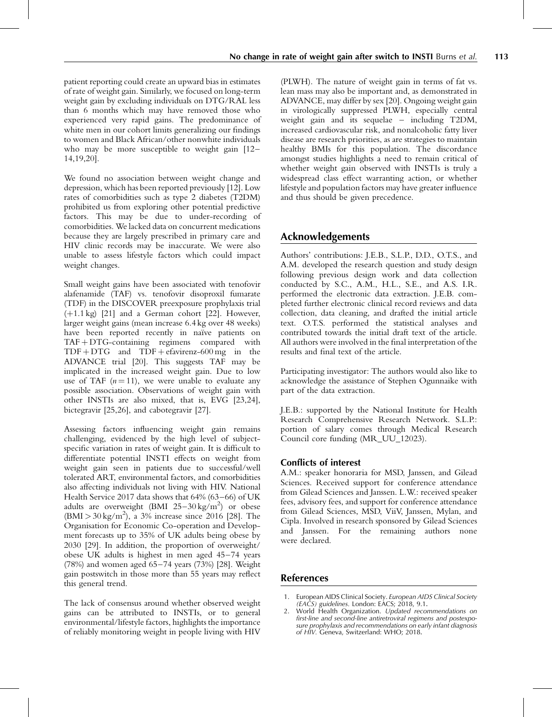patient reporting could create an upward bias in estimates of rate of weight gain. Similarly, we focused on long-term weight gain by excluding individuals on DTG/RAL less than 6 months which may have removed those who experienced very rapid gains. The predominance of white men in our cohort limits generalizing our findings to women and Black African/other nonwhite individuals who may be more susceptible to weight gain  $[12-$ 14,19,20].

We found no association between weight change and depression, which has been reported previously [12]. Low rates of comorbidities such as type 2 diabetes (T2DM) prohibited us from exploring other potential predictive factors. This may be due to under-recording of comorbidities. We lacked data on concurrent medications because they are largely prescribed in primary care and HIV clinic records may be inaccurate. We were also unable to assess lifestyle factors which could impact weight changes.

Small weight gains have been associated with tenofovir alafenamide (TAF) vs. tenofovir disoproxil fumarate (TDF) in the DISCOVER preexposure prophylaxis trial  $(+1.1 \text{ kg})$  [21] and a German cohort [22]. However, larger weight gains (mean increase 6.4 kg over 48 weeks) have been reported recently in naïve patients on  $TAF + DTG$ -containing regimens compared with  $TDF + DTG$  and  $TDF + e$ favirenz-600 mg in the ADVANCE trial [20]. This suggests TAF may be implicated in the increased weight gain. Due to low use of TAF  $(n = 11)$ , we were unable to evaluate any possible association. Observations of weight gain with other INSTIs are also mixed, that is, EVG [23,24], bictegravir [25,26], and cabotegravir [27].

Assessing factors influencing weight gain remains challenging, evidenced by the high level of subjectspecific variation in rates of weight gain. It is difficult to differentiate potential INSTI effects on weight from weight gain seen in patients due to successful/well tolerated ART, environmental factors, and comorbidities also affecting individuals not living with HIV. National Health Service 2017 data shows that 64% (63–66) of UK adults are overweight (BMI  $25-30 \text{ kg/m}^2$ ) or obese  $(BMI > 30 \text{ kg/m}^2)$ , a 3% increase since 2016 [28]. The Organisation for Economic Co-operation and Development forecasts up to 35% of UK adults being obese by 2030 [29]. In addition, the proportion of overweight/ obese UK adults is highest in men aged 45–74 years (78%) and women aged 65–74 years (73%) [28]. Weight gain postswitch in those more than 55 years may reflect this general trend.

The lack of consensus around whether observed weight gains can be attributed to INSTIs, or to general environmental/lifestyle factors, highlights the importance of reliably monitoring weight in people living with HIV

(PLWH). The nature of weight gain in terms of fat vs. lean mass may also be important and, as demonstrated in ADVANCE, may differ by sex [20]. Ongoing weight gain in virologically suppressed PLWH, especially central weight gain and its sequelae – including T2DM, increased cardiovascular risk, and nonalcoholic fatty liver disease are research priorities, as are strategies to maintain healthy BMIs for this population. The discordance amongst studies highlights a need to remain critical of whether weight gain observed with INSTIs is truly a widespread class effect warranting action, or whether lifestyle and population factors may have greater influence and thus should be given precedence.

# Acknowledgements

Authors' contributions: J.E.B., S.L.P., D.D., O.T.S., and A.M. developed the research question and study design following previous design work and data collection conducted by S.C., A.M., H.L., S.E., and A.S. I.R. performed the electronic data extraction. J.E.B. completed further electronic clinical record reviews and data collection, data cleaning, and drafted the initial article text. O.T.S. performed the statistical analyses and contributed towards the initial draft text of the article. All authors were involved in the final interpretation of the results and final text of the article.

Participating investigator: The authors would also like to acknowledge the assistance of Stephen Ogunnaike with part of the data extraction.

J.E.B.: supported by the National Institute for Health Research Comprehensive Research Network. S.L.P.: portion of salary comes through Medical Research Council core funding (MR\_UU\_12023).

## Conflicts of interest

A.M.: speaker honoraria for MSD, Janssen, and Gilead Sciences. Received support for conference attendance from Gilead Sciences and Janssen. L.W.: received speaker fees, advisory fees, and support for conference attendance from Gilead Sciences, MSD, ViiV, Janssen, Mylan, and Cipla. Involved in research sponsored by Gilead Sciences and Janssen. For the remaining authors none were declared.

## References

1. European AIDS Clinical Society. European AIDS Clinical Society (EACS) guidelines. London: EACS; 2018, 9.1.

<sup>2.</sup> World Health Organization. Updated recommendations on first-line and second-line antiretroviral regimens and postexposure prophylaxis and recommendations on early infant diagnosis of HIV. Geneva, Switzerland: WHO; 2018.